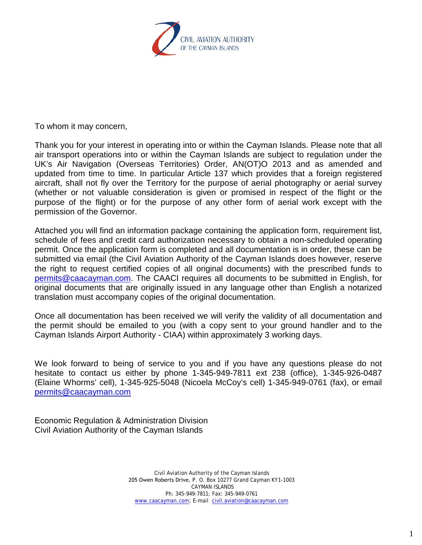

To whom it may concern,

Thank you for your interest in operating into or within the Cayman Islands. Please note that all air transport operations into or within the Cayman Islands are subject to regulation under the UK's Air Navigation (Overseas Territories) Order, AN(OT)O 2013 and as amended and updated from time to time. In particular Article 137 which provides that a foreign registered aircraft, shall not fly over the Territory for the purpose of aerial photography or aerial survey (whether or not valuable consideration is given or promised in respect of the flight or the purpose of the flight) or for the purpose of any other form of aerial work except with the permission of the Governor.

Attached you will find an information package containing the application form, requirement list, schedule of fees and credit card authorization necessary to obtain a non-scheduled operating permit. Once the application form is completed and all documentation is in order, these can be submitted via email (the Civil Aviation Authority of the Cayman Islands does however, reserve the right to request certified copies of all original documents) with the prescribed funds to [permits@caacayman.com.](mailto:permits@caacayman.com) The CAACI requires all documents to be submitted in English, for original documents that are originally issued in any language other than English a notarized translation must accompany copies of the original documentation.

Once all documentation has been received we will verify the validity of all documentation and the permit should be emailed to you (with a copy sent to your ground handler and to the Cayman Islands Airport Authority - CIAA) within approximately 3 working days.

We look forward to being of service to you and if you have any questions please do not hesitate to contact us either by phone 1-345-949-7811 ext 238 (office), 1-345-926-0487 (Elaine Whorms' cell), 1-345-925-5048 (Nicoela McCoy's cell) 1-345-949-0761 (fax), or email [permits@caacayman.com](mailto:permits@caacayman.com)

Economic Regulation & Administration Division Civil Aviation Authority of the Cayman Islands

> Civil Aviation Authority of the Cayman Islands 205 Owen Roberts Drive, P. O. Box 10277 Grand Cayman KY1-1003 CAYMAN ISLANDS Ph: 345-949-7811; Fax: 345-949-0761 [www.caacayman.com;](http://www.caacayman.com/) E-mail [civil.aviation@caacayman.com](mailto:civil.aviation@caacayman.com)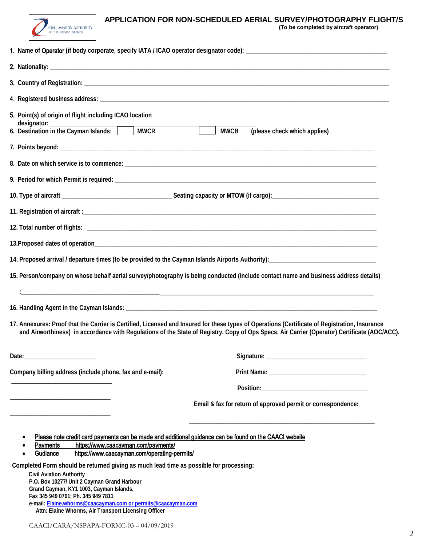

## **APPLICATION FOR NON-SCHEDULED AERIAL SURVEY/PHOTOGRAPHY FLIGHT/S (To be completed by aircraft operator)**

| 5. Point(s) of origin of flight including ICAO location<br>designator:_                                                                                                                                                                                                                                                                                                                                                                                                                                                                                                                                           | <b>MWCB</b><br>(please check which applies)                                                                                                                                                                                                                                                    |
|-------------------------------------------------------------------------------------------------------------------------------------------------------------------------------------------------------------------------------------------------------------------------------------------------------------------------------------------------------------------------------------------------------------------------------------------------------------------------------------------------------------------------------------------------------------------------------------------------------------------|------------------------------------------------------------------------------------------------------------------------------------------------------------------------------------------------------------------------------------------------------------------------------------------------|
|                                                                                                                                                                                                                                                                                                                                                                                                                                                                                                                                                                                                                   |                                                                                                                                                                                                                                                                                                |
|                                                                                                                                                                                                                                                                                                                                                                                                                                                                                                                                                                                                                   |                                                                                                                                                                                                                                                                                                |
|                                                                                                                                                                                                                                                                                                                                                                                                                                                                                                                                                                                                                   |                                                                                                                                                                                                                                                                                                |
|                                                                                                                                                                                                                                                                                                                                                                                                                                                                                                                                                                                                                   |                                                                                                                                                                                                                                                                                                |
|                                                                                                                                                                                                                                                                                                                                                                                                                                                                                                                                                                                                                   |                                                                                                                                                                                                                                                                                                |
|                                                                                                                                                                                                                                                                                                                                                                                                                                                                                                                                                                                                                   |                                                                                                                                                                                                                                                                                                |
|                                                                                                                                                                                                                                                                                                                                                                                                                                                                                                                                                                                                                   |                                                                                                                                                                                                                                                                                                |
|                                                                                                                                                                                                                                                                                                                                                                                                                                                                                                                                                                                                                   |                                                                                                                                                                                                                                                                                                |
|                                                                                                                                                                                                                                                                                                                                                                                                                                                                                                                                                                                                                   | 15. Person/company on whose behalf aerial survey/photography is being conducted (include contact name and business address details)                                                                                                                                                            |
|                                                                                                                                                                                                                                                                                                                                                                                                                                                                                                                                                                                                                   |                                                                                                                                                                                                                                                                                                |
|                                                                                                                                                                                                                                                                                                                                                                                                                                                                                                                                                                                                                   |                                                                                                                                                                                                                                                                                                |
|                                                                                                                                                                                                                                                                                                                                                                                                                                                                                                                                                                                                                   | 17. Annexures: Proof that the Carrier is Certified, Licensed and Insured for these types of Operations (Certificate of Registration, Insurance<br>and Airworthiness) in accordance with Regulations of the State of Registry. Copy of Ops Specs, Air Carrier (Operator) Certificate (AOC/ACC). |
| Date:                                                                                                                                                                                                                                                                                                                                                                                                                                                                                                                                                                                                             |                                                                                                                                                                                                                                                                                                |
| Company billing address (include phone, fax and e-mail):                                                                                                                                                                                                                                                                                                                                                                                                                                                                                                                                                          |                                                                                                                                                                                                                                                                                                |
|                                                                                                                                                                                                                                                                                                                                                                                                                                                                                                                                                                                                                   |                                                                                                                                                                                                                                                                                                |
|                                                                                                                                                                                                                                                                                                                                                                                                                                                                                                                                                                                                                   | Email & fax for return of approved permit or correspondence:                                                                                                                                                                                                                                   |
| Please note credit card payments can be made and additional guidance can be found on the CAACI website<br><b>Payments</b><br>https://www.caacayman.com/payments/<br>https://www.caacayman.com/operating-permits/<br>Gudiance<br>Completed Form should be returned giving as much lead time as possible for processing:<br><b>Civil Aviation Authority</b><br>P.O. Box 10277/ Unit 2 Cayman Grand Harbour<br>Grand Cayman, KY1 1003, Cayman Islands.<br>Fax 345 949 0761; Ph. 345 949 7811<br>e-mail: Elaine.whorms@caacayman.com or permits@caacayman.com<br>Attn: Elaine Whorms, Air Transport Licensing Officer |                                                                                                                                                                                                                                                                                                |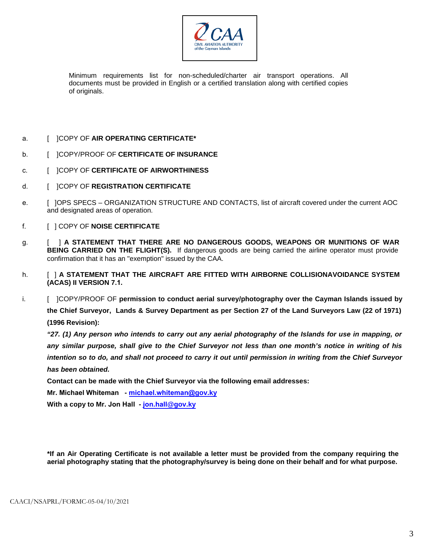

Minimum requirements list for non-scheduled/charter air transport operations. All documents must be provided in English or a certified translation along with certified copies of originals.

- a. [ ]COPY OF **AIR OPERATING CERTIFICATE\***
- b. [ ]COPY/PROOF OF **CERTIFICATE OF INSURANCE**
- c. [ ]COPY OF **CERTIFICATE OF AIRWORTHINESS**
- d. [ ]COPY OF **REGISTRATION CERTIFICATE**
- e. [ ]OPS SPECS ORGANIZATION STRUCTURE AND CONTACTS, list of aircraft covered under the current AOC and designated areas of operation.
- f. [ ] COPY OF **NOISE CERTIFICATE**
- g. [ ] **A STATEMENT THAT THERE ARE NO DANGEROUS GOODS, WEAPONS OR MUNITIONS OF WAR BEING CARRIED ON THE FLIGHT(S).** If dangerous goods are being carried the airline operator must provide confirmation that it has an "exemption" issued by the CAA.
- h. [ ] **A STATEMENT THAT THE AIRCRAFT ARE FITTED WITH AIRBORNE COLLISIONAVOIDANCE SYSTEM (ACAS) II VERSION 7.1.**
- i. [ ]COPY/PROOF OF **permission to conduct aerial survey/photography over the Cayman Islands issued by the Chief Surveyor, Lands & Survey Department as per Section 27 of the Land Surveyors Law (22 of 1971) (1996 Revision):**

"27. (1) Any person who intends to carry out any aerial photography of the Islands for use in mapping, or *any similar purpose, shall give to the Chief Surveyor not less than one month's notice in writing of his intention so to do, and shall not proceed to carry it out until permission in writing from the Chief Surveyor has been obtained.*

**Contact can be made with the Chief Surveyor via the following email addresses:**

**Mr. Michael Whiteman - [michael.whiteman@](mailto:michael.whiteman@gov.ky)gov.ky**

**With a copy to Mr. Jon Hall - jon.hall[@gov.ky](mailto:jon.hall@gov.ky)** 

**\*If an Air Operating Certificate is not available a letter must be provided from the company requiring the aerial photography stating that the photography/survey is being done on their behalf and for what purpose.**